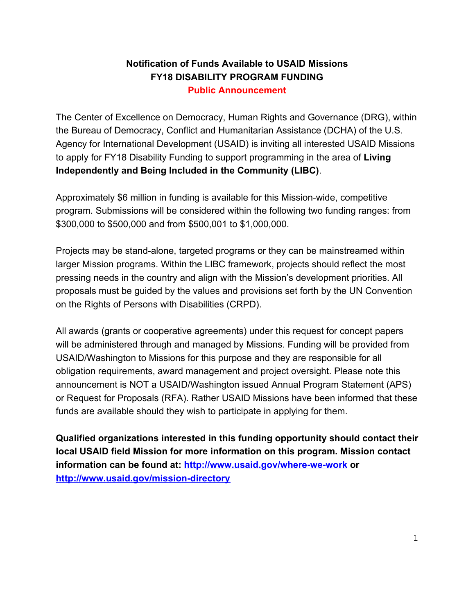# **Notification of Funds Available to USAID Missions FY18 DISABILITY PROGRAM FUNDING**

**Public Announcement**

The Center of Excellence on Democracy, Human Rights and Governance (DRG), within the Bureau of Democracy, Conflict and Humanitarian Assistance (DCHA) of the U.S. Agency for International Development (USAID) is inviting all interested USAID Missions to apply for FY18 Disability Funding to support programming in the area of **Living Independently and Being Included in the Community (LIBC)**.

Approximately \$6 million in funding is available for this Mission-wide, competitive program. Submissions will be considered within the following two funding ranges: from \$300,000 to \$500,000 and from \$500,001 to \$1,000,000.

Projects may be stand-alone, targeted programs or they can be mainstreamed within larger Mission programs. Within the LIBC framework, projects should reflect the most pressing needs in the country and align with the Mission's development priorities. All proposals must be guided by the values and provisions set forth by the UN Convention on the Rights of Persons with Disabilities (CRPD).

All awards (grants or cooperative agreements) under this request for concept papers will be administered through and managed by Missions. Funding will be provided from USAID/Washington to Missions for this purpose and they are responsible for all obligation requirements, award management and project oversight. Please note this announcement is NOT a USAID/Washington issued Annual Program Statement (APS) or Request for Proposals (RFA). Rather USAID Missions have been informed that these funds are available should they wish to participate in applying for them.

**Qualified organizations interested in this funding opportunity should contact their local USAID field Mission for more information on this program. Mission contact information can be found at:<http://www.usaid.gov/where-we-work> or <http://www.usaid.gov/mission-directory>**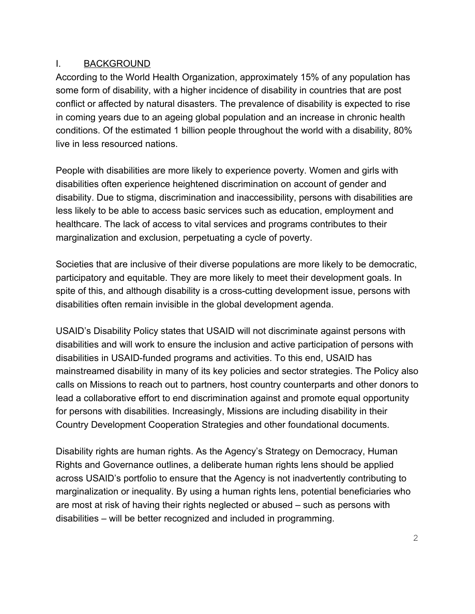#### I. BACKGROUND

According to the World Health Organization, approximately 15% of any population has some form of disability, with a higher incidence of disability in countries that are post conflict or affected by natural disasters. The prevalence of disability is expected to rise in coming years due to an ageing global population and an increase in chronic health conditions. Of the estimated 1 billion people throughout the world with a disability, 80% live in less resourced nations.

People with disabilities are more likely to experience poverty. Women and girls with disabilities often experience heightened discrimination on account of gender and disability. Due to stigma, discrimination and inaccessibility, persons with disabilities are less likely to be able to access basic services such as education, employment and healthcare. The lack of access to vital services and programs contributes to their marginalization and exclusion, perpetuating a cycle of poverty.

Societies that are inclusive of their diverse populations are more likely to be democratic, participatory and equitable. They are more likely to meet their development goals. In spite of this, and although disability is a cross-cutting development issue, persons with disabilities often remain invisible in the global development agenda.

USAID's Disability Policy states that USAID will not discriminate against persons with disabilities and will work to ensure the inclusion and active participation of persons with disabilities in USAID-funded programs and activities. To this end, USAID has mainstreamed disability in many of its key policies and sector strategies. The Policy also calls on Missions to reach out to partners, host country counterparts and other donors to lead a collaborative effort to end discrimination against and promote equal opportunity for persons with disabilities. Increasingly, Missions are including disability in their Country Development Cooperation Strategies and other foundational documents.

Disability rights are human rights. As the Agency's Strategy on Democracy, Human Rights and Governance outlines, a deliberate human rights lens should be applied across USAID's portfolio to ensure that the Agency is not inadvertently contributing to marginalization or inequality. By using a human rights lens, potential beneficiaries who are most at risk of having their rights neglected or abused – such as persons with disabilities – will be better recognized and included in programming.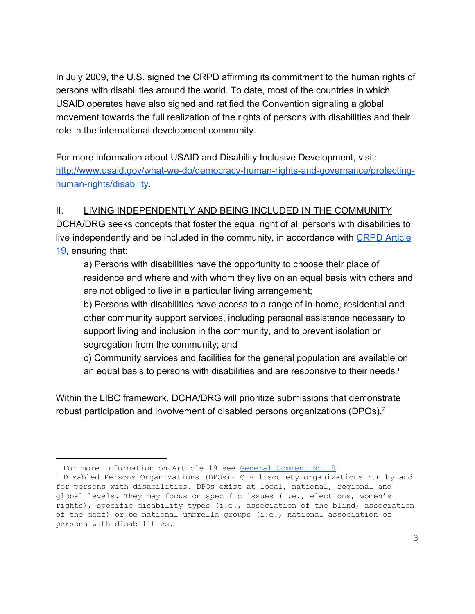In July 2009, the U.S. signed the CRPD affirming its commitment to the human rights of persons with disabilities around the world. To date, most of the countries in which USAID operates have also signed and ratified the Convention signaling a global movement towards the full realization of the rights of persons with disabilities and their role in the international development community.

For more information about USAID and Disability Inclusive Development, visit: [http://www.usaid.gov/what-we-do/democracy-human-rights-and-governance/protecting](http://www.usaid.gov/what-we-do/democracy-human-rights-and-governance/protecting-human-rights/disability)[human-rights/disability](http://www.usaid.gov/what-we-do/democracy-human-rights-and-governance/protecting-human-rights/disability).

## II. LIVING INDEPENDENTLY AND BEING INCLUDED IN THE COMMUNITY

DCHA/DRG seeks concepts that foster the equal right of all persons with disabilities to live independently and be included in the community, in accordance with [CRPD Article](https://www.un.org/development/desa/disabilities/convention-on-the-rights-of-persons-with-disabilities/article-19-living-independently-and-being-included-in-the-community.html) [19,](https://www.un.org/development/desa/disabilities/convention-on-the-rights-of-persons-with-disabilities/article-19-living-independently-and-being-included-in-the-community.html) ensuring that:

a) Persons with disabilities have the opportunity to choose their place of residence and where and with whom they live on an equal basis with others and are not obliged to live in a particular living arrangement;

b) Persons with disabilities have access to a range of in-home, residential and other community support services, including personal assistance necessary to support living and inclusion in the community, and to prevent isolation or segregation from the community; and

c) Community services and facilities for the general population are available on an equal basis to persons with disabilities and are responsive to their needs. 1

Within the LIBC framework, DCHA/DRG will prioritize submissions that demonstrate robust participation and involvement of disabled persons organizations (DPOs).<sup>2</sup>

 $1$  For more information on Article 19 see General [Comment](https://tbinternet.ohchr.org/_layouts/treatybodyexternal/Download.aspx?symbolno=CRPD/C/GC/5&Lang=en) No. 5

<sup>2</sup> Disabled Persons Organizations (DPOs)- Civil society organizations run by and for persons with disabilities. DPOs exist at local, national, regional and global levels. They may focus on specific issues (i.e., elections, women's rights), specific disability types (i.e., association of the blind, association of the deaf) or be national umbrella groups (i.e., national association of persons with disabilities.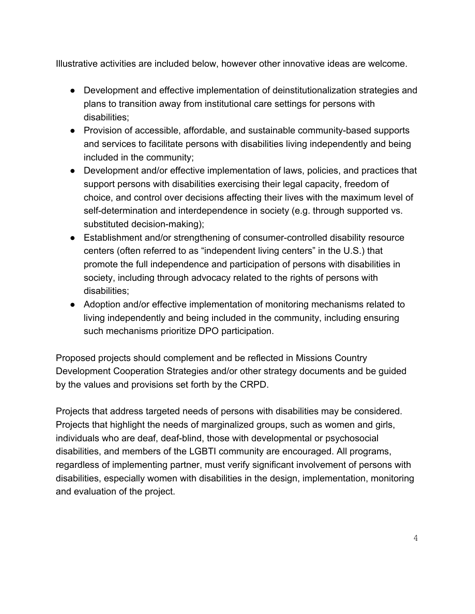Illustrative activities are included below, however other innovative ideas are welcome.

- Development and effective implementation of deinstitutionalization strategies and plans to transition away from institutional care settings for persons with disabilities;
- Provision of accessible, affordable, and sustainable community-based supports and services to facilitate persons with disabilities living independently and being included in the community;
- Development and/or effective implementation of laws, policies, and practices that support persons with disabilities exercising their legal capacity, freedom of choice, and control over decisions affecting their lives with the maximum level of self-determination and interdependence in society (e.g. through supported vs. substituted decision-making);
- Establishment and/or strengthening of consumer-controlled disability resource centers (often referred to as "independent living centers" in the U.S.) that promote the full independence and participation of persons with disabilities in society, including through advocacy related to the rights of persons with disabilities;
- Adoption and/or effective implementation of monitoring mechanisms related to living independently and being included in the community, including ensuring such mechanisms prioritize DPO participation.

Proposed projects should complement and be reflected in Missions Country Development Cooperation Strategies and/or other strategy documents and be guided by the values and provisions set forth by the CRPD.

Projects that address targeted needs of persons with disabilities may be considered. Projects that highlight the needs of marginalized groups, such as women and girls, individuals who are deaf, deaf-blind, those with developmental or psychosocial disabilities, and members of the LGBTI community are encouraged. All programs, regardless of implementing partner, must verify significant involvement of persons with disabilities, especially women with disabilities in the design, implementation, monitoring and evaluation of the project.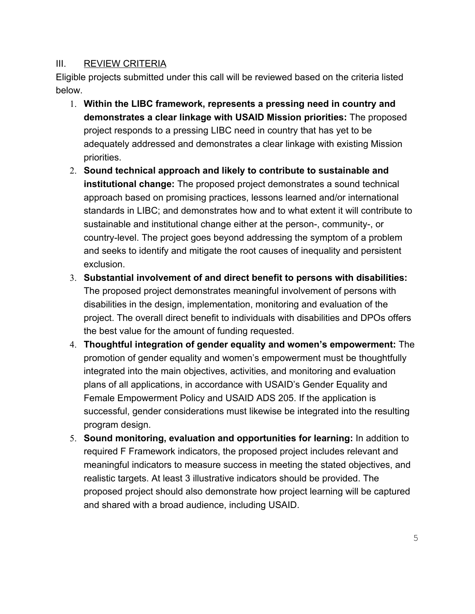#### III. REVIEW CRITERIA

Eligible projects submitted under this call will be reviewed based on the criteria listed below.

- 1. **Within the LIBC framework, represents a pressing need in country and demonstrates a clear linkage with USAID Mission priorities:** The proposed project responds to a pressing LIBC need in country that has yet to be adequately addressed and demonstrates a clear linkage with existing Mission priorities.
- 2. **Sound technical approach and likely to contribute to sustainable and institutional change:** The proposed project demonstrates a sound technical approach based on promising practices, lessons learned and/or international standards in LIBC; and demonstrates how and to what extent it will contribute to sustainable and institutional change either at the person-, community-, or country-level. The project goes beyond addressing the symptom of a problem and seeks to identify and mitigate the root causes of inequality and persistent exclusion.
- 3. **Substantial involvement of and direct benefit to persons with disabilities:** The proposed project demonstrates meaningful involvement of persons with disabilities in the design, implementation, monitoring and evaluation of the project. The overall direct benefit to individuals with disabilities and DPOs offers the best value for the amount of funding requested.
- 4. **Thoughtful integration of gender equality and women's empowerment:** The promotion of gender equality and women's empowerment must be thoughtfully integrated into the main objectives, activities, and monitoring and evaluation plans of all applications, in accordance with USAID's Gender Equality and Female Empowerment Policy and USAID ADS 205. If the application is successful, gender considerations must likewise be integrated into the resulting program design.
- 5. **Sound monitoring, evaluation and opportunities for learning:** In addition to required F Framework indicators, the proposed project includes relevant and meaningful indicators to measure success in meeting the stated objectives, and realistic targets. At least 3 illustrative indicators should be provided. The proposed project should also demonstrate how project learning will be captured and shared with a broad audience, including USAID.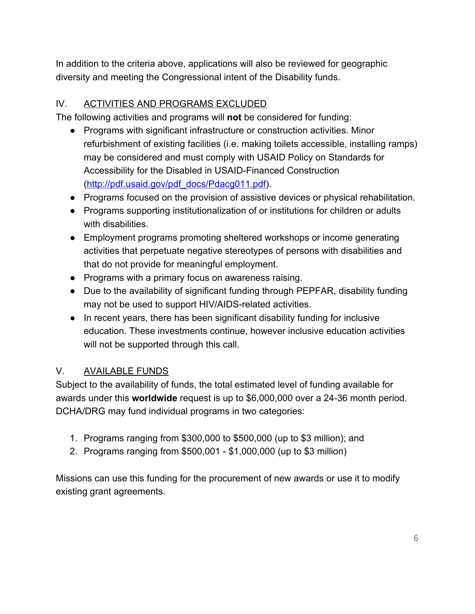In addition to the criteria above, applications will also be reviewed for geographic diversity and meeting the Congressional intent of the Disability funds.

## IV. ACTIVITIES AND PROGRAMS EXCLUDED

The following activities and programs will **not** be considered for funding:

- Programs with significant infrastructure or construction activities. Minor refurbishment of existing facilities (i.e. making toilets accessible, installing ramps) may be considered and must comply with USAID Policy on Standards for Accessibility for the Disabled in USAID-Financed Construction ([http://pdf.usaid.gov/pdf\\_docs/Pdacg011.pdf\)](http://pdf.usaid.gov/pdf_docs/Pdacg011.pdf).
- Programs focused on the provision of assistive devices or physical rehabilitation.
- Programs supporting institutionalization of or institutions for children or adults with disabilities.
- Employment programs promoting sheltered workshops or income generating activities that perpetuate negative stereotypes of persons with disabilities and that do not provide for meaningful employment.
- Programs with a primary focus on awareness raising.
- Due to the availability of significant funding through PEPFAR, disability funding may not be used to support HIV/AIDS-related activities.
- In recent years, there has been significant disability funding for inclusive education. These investments continue, however inclusive education activities will not be supported through this call.

## V. AVAILABLE FUNDS

Subject to the availability of funds, the total estimated level of funding available for awards under this **worldwide** request is up to \$6,000,000 over a 24-36 month period. DCHA/DRG may fund individual programs in two categories:

- 1. Programs ranging from \$300,000 to \$500,000 (up to \$3 million); and
- 2. Programs ranging from \$500,001 \$1,000,000 (up to \$3 million)

Missions can use this funding for the procurement of new awards or use it to modify existing grant agreements.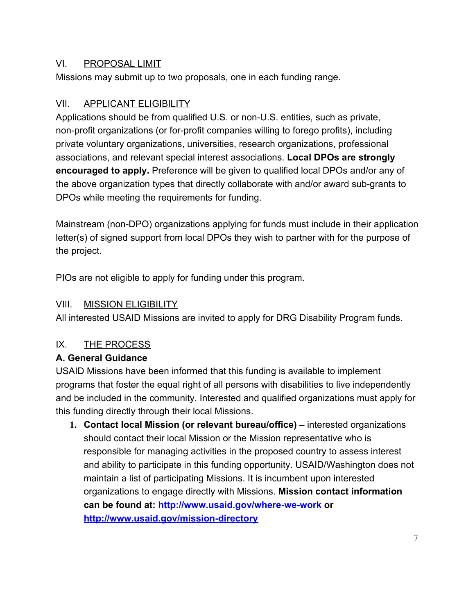#### VI. PROPOSAL LIMIT

Missions may submit up to two proposals, one in each funding range.

## VII. APPLICANT ELIGIBILITY

Applications should be from qualified U.S. or non-U.S. entities, such as private, non-profit organizations (or for-profit companies willing to forego profits), including private voluntary organizations, universities, research organizations, professional associations, and relevant special interest associations. **Local DPOs are strongly encouraged to apply.** Preference will be given to qualified local DPOs and/or any of the above organization types that directly collaborate with and/or award sub-grants to DPOs while meeting the requirements for funding.

Mainstream (non-DPO) organizations applying for funds must include in their application letter(s) of signed support from local DPOs they wish to partner with for the purpose of the project.

PIOs are not eligible to apply for funding under this program.

## VIII. MISSION ELIGIBILITY

All interested USAID Missions are invited to apply for DRG Disability Program funds.

# IX. THE PROCESS

## **A. General Guidance**

USAID Missions have been informed that this funding is available to implement programs that foster the equal right of all persons with disabilities to live independently and be included in the community. Interested and qualified organizations must apply for this funding directly through their local Missions.

**1. Contact local Mission (or relevant bureau/office)** – interested organizations should contact their local Mission or the Mission representative who is responsible for managing activities in the proposed country to assess interest and ability to participate in this funding opportunity. USAID/Washington does not maintain a list of participating Missions. It is incumbent upon interested organizations to engage directly with Missions. **Mission contact information can be found at: <http://www.usaid.gov/where-we-work>or <http://www.usaid.gov/mission-directory>**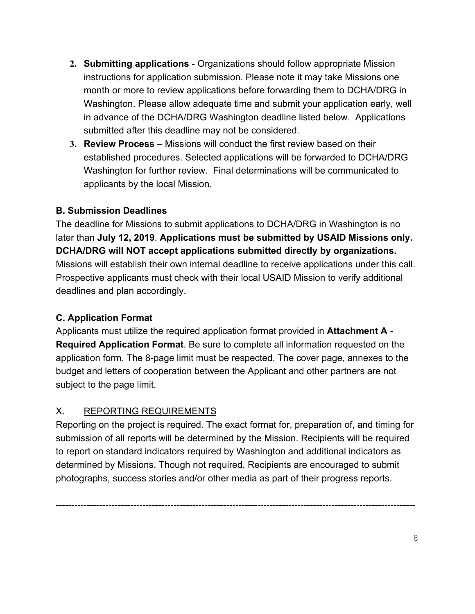- **2. Submitting applications**  Organizations should follow appropriate Mission instructions for application submission. Please note it may take Missions one month or more to review applications before forwarding them to DCHA/DRG in Washington. Please allow adequate time and submit your application early, well in advance of the DCHA/DRG Washington deadline listed below. Applications submitted after this deadline may not be considered.
- **3. Review Process**  Missions will conduct the first review based on their established procedures. Selected applications will be forwarded to DCHA/DRG Washington for further review. Final determinations will be communicated to applicants by the local Mission.

#### **B. Submission Deadlines**

The deadline for Missions to submit applications to DCHA/DRG in Washington is no later than **July 12, 2019**. **Applications must be submitted by USAID Missions only. DCHA/DRG will NOT accept applications submitted directly by organizations.** Missions will establish their own internal deadline to receive applications under this call. Prospective applicants must check with their local USAID Mission to verify additional deadlines and plan accordingly.

#### **C. Application Format**

Applicants must utilize the required application format provided in **Attachment A - Required Application Format**. Be sure to complete all information requested on the application form. The 8-page limit must be respected. The cover page, annexes to the budget and letters of cooperation between the Applicant and other partners are not subject to the page limit.

#### X. REPORTING REQUIREMENTS

Reporting on the project is required. The exact format for, preparation of, and timing for submission of all reports will be determined by the Mission. Recipients will be required to report on standard indicators required by Washington and additional indicators as determined by Missions. Though not required, Recipients are encouraged to submit photographs, success stories and/or other media as part of their progress reports.

--------------------------------------------------------------------------------------------------------------------